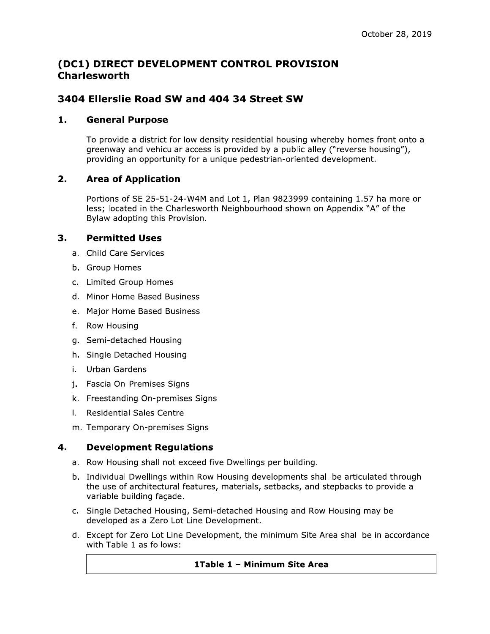# (DC1) DIRECT DEVELOPMENT CONTROL PROVISION **Charlesworth**

## 3404 Ellerslie Road SW and 404 34 Street SW

#### 1. **General Purpose**

To provide a district for low density residential housing whereby homes front onto a greenway and vehicular access is provided by a public alley ("reverse housing"), providing an opportunity for a unique pedestrian-oriented development.

#### $2.$ **Area of Application**

Portions of SE 25-51-24-W4M and Lot 1, Plan 9823999 containing 1.57 ha more or less; located in the Charlesworth Neighbourhood shown on Appendix "A" of the Bylaw adopting this Provision.

#### 3. **Permitted Uses**

- a. Child Care Services
- b. Group Homes
- c. Limited Group Homes
- d. Minor Home Based Business
- e. Major Home Based Business
- f. Row Housing
- g. Semi-detached Housing
- h. Single Detached Housing
- i. Urban Gardens
- j. Fascia On-Premises Signs
- k. Freestanding On-premises Signs
- I. Residential Sales Centre
- m. Temporary On-premises Signs

#### $4.$ **Development Regulations**

- a. Row Housing shall not exceed five Dwellings per building.
- b. Individual Dwellings within Row Housing developments shall be articulated through the use of architectural features, materials, setbacks, and stepbacks to provide a variable building facade.
- c. Single Detached Housing, Semi-detached Housing and Row Housing may be developed as a Zero Lot Line Development.
- d. Except for Zero Lot Line Development, the minimum Site Area shall be in accordance with Table 1 as follows:

### 1Table 1 - Minimum Site Area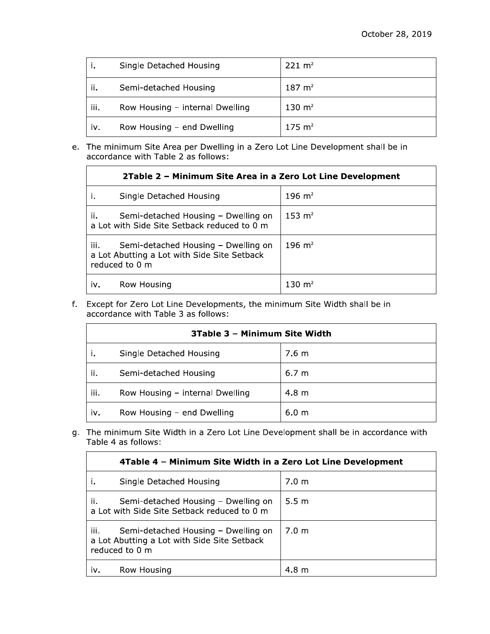|      | Single Detached Housing         | $221 \text{ m}^2$     |
|------|---------------------------------|-----------------------|
| ii.  | Semi-detached Housing           | $187 \; \mathrm{m}^2$ |
| iii. | Row Housing - internal Dwelling | 130 $m2$              |
| iv.  | Row Housing - end Dwelling      | $175 \; \mathrm{m}^2$ |

e. The minimum Site Area per Dwelling in a Zero Lot Line Development shall be in accordance with Table 2 as follows:

| 2Table 2 – Minimum Site Area in a Zero Lot Line Development                                                  |                    |  |  |
|--------------------------------------------------------------------------------------------------------------|--------------------|--|--|
| Single Detached Housing                                                                                      | 196 $m2$           |  |  |
| ii.<br>Semi-detached Housing - Dwelling on<br>a Lot with Side Site Setback reduced to 0 m                    | 153 m <sup>2</sup> |  |  |
| iii.<br>Semi-detached Housing - Dwelling on<br>a Lot Abutting a Lot with Side Site Setback<br>reduced to 0 m | 196 m <sup>2</sup> |  |  |
| Row Housing<br>iv.                                                                                           | 130 $m2$           |  |  |

f. Except for Zero Lot Line Developments, the minimum Site Width shall be in accordance with Table 3 as follows:

| 3Table 3 - Minimum Site Width |                                 |                  |  |
|-------------------------------|---------------------------------|------------------|--|
|                               | Single Detached Housing         | 7.6 m            |  |
| ii.                           | Semi-detached Housing           | 6.7 m            |  |
| iii.                          | Row Housing - internal Dwelling | 4.8 <sub>m</sub> |  |
| iv.                           | Row Housing - end Dwelling      | 6.0 <sub>m</sub> |  |

g. The minimum Site Width in a Zero Lot Line Development shall be in accordance with Table 4 as follows:

| 4Table 4 - Minimum Site Width in a Zero Lot Line Development                                                 |                  |  |  |
|--------------------------------------------------------------------------------------------------------------|------------------|--|--|
| Single Detached Housing                                                                                      | 7.0 <sub>m</sub> |  |  |
| ii.<br>Semi-detached Housing – Dwelling on<br>a Lot with Side Site Setback reduced to 0 m                    | 5.5 m            |  |  |
| iii.<br>Semi-detached Housing - Dwelling on<br>a Lot Abutting a Lot with Side Site Setback<br>reduced to 0 m | 7.0 m            |  |  |
| Row Housing<br>iv.                                                                                           | 4.8~m            |  |  |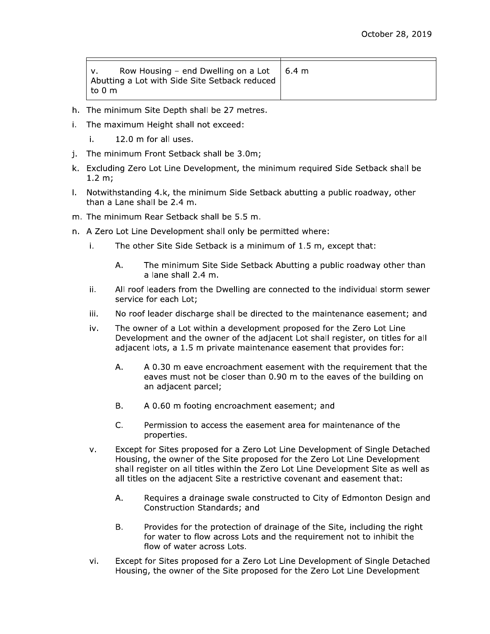| Row Housing – end Dwelling on a Lot $\,$   6.4 m<br>Abutting a Lot with Side Site Setback reduced |  |
|---------------------------------------------------------------------------------------------------|--|
| ∣to 0 m                                                                                           |  |

- h. The minimum Site Depth shall be 27 metres.
- i. The maximum Height shall not exceed:
	- i. 12.0 m for all uses.
- j. The minimum Front Setback shall be 3.0m;
- k. Excluding Zero Lot Line Development, the minimum required Side Setback shall be  $1.2 m;$
- I. Notwithstanding 4.k, the minimum Side Setback abutting a public roadway, other than a Lane shall be 2.4 m.
- m. The minimum Rear Setback shall be 5.5 m.
- n. A Zero Lot Line Development shall only be permitted where:
	- i. The other Site Side Setback is a minimum of 1.5 m, except that:
		- The minimum Site Side Setback Abutting a public roadway other than Α. a lane shall 2.4 m.
	- ii. All roof leaders from the Dwelling are connected to the individual storm sewer service for each Lot;
	- No roof leader discharge shall be directed to the maintenance easement; and iii.
	- The owner of a Lot within a development proposed for the Zero Lot Line iv. Development and the owner of the adjacent Lot shall register, on titles for all adjacent lots, a 1.5 m private maintenance easement that provides for:
		- A. A 0.30 m eave encroachment easement with the requirement that the eaves must not be closer than 0.90 m to the eaves of the building on an adjacent parcel;
		- **B.** A 0.60 m footing encroachment easement; and
		- $C_{-}$ Permission to access the easement area for maintenance of the properties.
	- Except for Sites proposed for a Zero Lot Line Development of Single Detached  $V_{\bullet}$ Housing, the owner of the Site proposed for the Zero Lot Line Development shall register on all titles within the Zero Lot Line Development Site as well as all titles on the adjacent Site a restrictive covenant and easement that:
		- Requires a drainage swale constructed to City of Edmonton Design and Α. Construction Standards; and
		- Provides for the protection of drainage of the Site, including the right B. for water to flow across Lots and the requirement not to inhibit the flow of water across Lots.
	- vi. Except for Sites proposed for a Zero Lot Line Development of Single Detached Housing, the owner of the Site proposed for the Zero Lot Line Development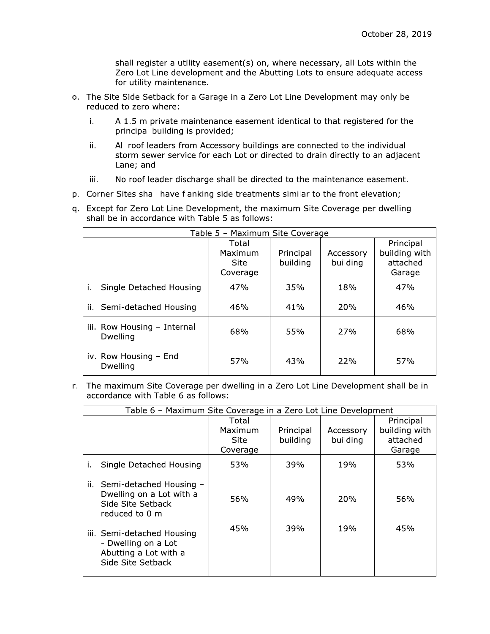shall register a utility easement(s) on, where necessary, all Lots within the Zero Lot Line development and the Abutting Lots to ensure adequate access for utility maintenance.

- o. The Site Side Setback for a Garage in a Zero Lot Line Development may only be reduced to zero where:
	- A 1.5 m private maintenance easement identical to that registered for the i. principal building is provided;
	- All roof leaders from Accessory buildings are connected to the individual ii. storm sewer service for each Lot or directed to drain directly to an adjacent Lane; and
	- No roof leader discharge shall be directed to the maintenance easement. iii.
- p. Corner Sites shall have flanking side treatments similar to the front elevation;
- q. Except for Zero Lot Line Development, the maximum Site Coverage per dwelling shall be in accordance with Table 5 as follows:

| Table 5 - Maximum Site Coverage         |                                      |                       |                       |                                                  |
|-----------------------------------------|--------------------------------------|-----------------------|-----------------------|--------------------------------------------------|
|                                         | Total<br>Maximum<br>Site<br>Coverage | Principal<br>building | Accessory<br>building | Principal<br>building with<br>attached<br>Garage |
| Single Detached Housing<br>i.           | 47%                                  | 35%                   | 18%                   | 47%                                              |
| ii. Semi-detached Housing               | 46%                                  | 41%                   | 20%                   | 46%                                              |
| iii. Row Housing - Internal<br>Dwelling | 68%                                  | 55%                   | 27%                   | 68%                                              |
| iv. Row Housing - End<br>Dwelling       | 57%                                  | 43%                   | 22%                   | 57%                                              |

r. The maximum Site Coverage per dwelling in a Zero Lot Line Development shall be in accordance with Table 6 as follows:

| Table 6 - Maximum Site Coverage in a Zero Lot Line Development                                  |                 |                       |                       |                           |
|-------------------------------------------------------------------------------------------------|-----------------|-----------------------|-----------------------|---------------------------|
|                                                                                                 | Total           |                       |                       | Principal                 |
|                                                                                                 | Maximum<br>Site | Principal<br>building | Accessory<br>building | building with<br>attached |
|                                                                                                 | Coverage        |                       |                       | Garage                    |
| Single Detached Housing<br>ı.                                                                   | 53%             | 39%                   | 19%                   | 53%                       |
| ii. Semi-detached Housing -<br>Dwelling on a Lot with a<br>Side Site Setback<br>reduced to 0 m  | 56%             | 49%                   | 20%                   | 56%                       |
| iii. Semi-detached Housing<br>- Dwelling on a Lot<br>Abutting a Lot with a<br>Side Site Setback | 45%             | 39%                   | 19%                   | 45%                       |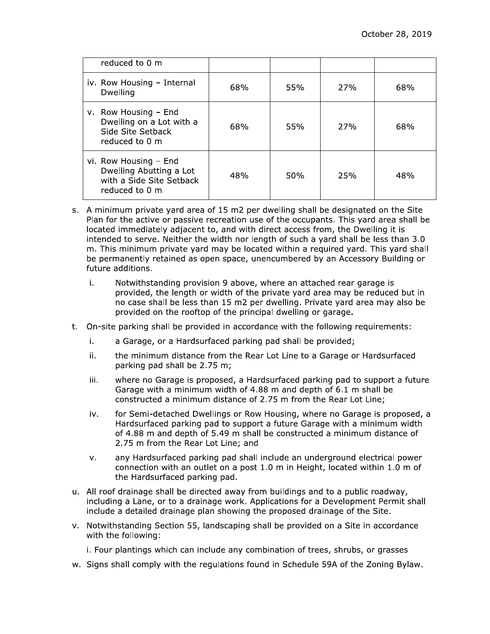| reduced to 0 m                                                                                 |     |     |     |     |
|------------------------------------------------------------------------------------------------|-----|-----|-----|-----|
| iv. Row Housing - Internal<br>Dwelling                                                         | 68% | 55% | 27% | 68% |
| $v.$ Row Housing $-$ End<br>Dwelling on a Lot with a<br>Side Site Setback<br>reduced to 0 m    | 68% | 55% | 27% | 68% |
| vi. Row Housing - End<br>Dwelling Abutting a Lot<br>with a Side Site Setback<br>reduced to 0 m | 48% | 50% | 25% | 48% |

- s. A minimum private yard area of 15 m2 per dwelling shall be designated on the Site Plan for the active or passive recreation use of the occupants. This yard area shall be located immediately adjacent to, and with direct access from, the Dwelling it is intended to serve. Neither the width nor length of such a vard shall be less than 3.0 m. This minimum private yard may be located within a required yard. This yard shall be permanently retained as open space, unencumbered by an Accessory Building or future additions.
	- Notwithstanding provision 9 above, where an attached rear garage is i. provided, the length or width of the private yard area may be reduced but in no case shall be less than 15 m2 per dwelling. Private yard area may also be provided on the rooftop of the principal dwelling or garage.
- t. On-site parking shall be provided in accordance with the following requirements:
	- a Garage, or a Hardsurfaced parking pad shall be provided; i.
	- ii. the minimum distance from the Rear Lot Line to a Garage or Hardsurfaced parking pad shall be 2.75 m;
	- where no Garage is proposed, a Hardsurfaced parking pad to support a future iii. Garage with a minimum width of 4.88 m and depth of 6.1 m shall be constructed a minimum distance of 2.75 m from the Rear Lot Line;
	- for Semi-detached Dwellings or Row Housing, where no Garage is proposed, a iv. Hardsurfaced parking pad to support a future Garage with a minimum width of 4.88 m and depth of 5.49 m shall be constructed a minimum distance of 2.75 m from the Rear Lot Line; and
	- any Hardsurfaced parking pad shall include an underground electrical power v. connection with an outlet on a post 1.0 m in Height, located within 1.0 m of the Hardsurfaced parking pad.
- u. All roof drainage shall be directed away from buildings and to a public roadway, including a Lane, or to a drainage work. Applications for a Development Permit shall include a detailed drainage plan showing the proposed drainage of the Site.
- v. Notwithstanding Section 55, landscaping shall be provided on a Site in accordance with the following:
	- i. Four plantings which can include any combination of trees, shrubs, or grasses
- w. Signs shall comply with the regulations found in Schedule 59A of the Zoning Bylaw.